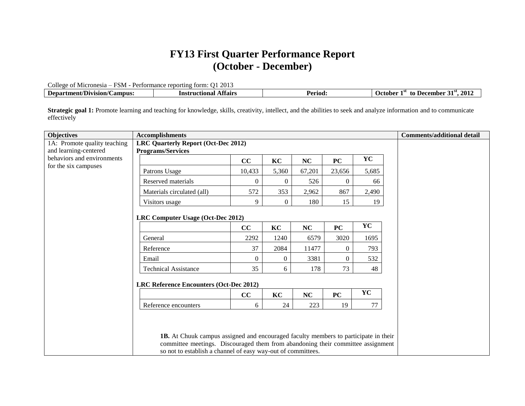## **FY13 First Quarter Performance Report (October - December)**

College of Micronesia – FSM - Performance reporting form: Q1 2013

| $\sqrt{2}$<br><b>ampus</b><br>ោក<br>. та ли<br>nn o<br>. | In | .70C | 201.<br>…emhe∽<br>ahar<br>īΛ<br>. . |
|----------------------------------------------------------|----|------|-------------------------------------|
|                                                          |    |      |                                     |

Strategic goal 1: Promote learning and teaching for knowledge, skills, creativity, intellect, and the abilities to seek and analyze information and to communicate effectively

| <b>Objectives</b>            | <b>Accomplishments</b>                                                                                                                                                                                                                        |                |                  |           |           |       | <b>Comments/additional detail</b> |
|------------------------------|-----------------------------------------------------------------------------------------------------------------------------------------------------------------------------------------------------------------------------------------------|----------------|------------------|-----------|-----------|-------|-----------------------------------|
| 1A: Promote quality teaching | <b>LRC Quarterly Report (Oct-Dec 2012)</b>                                                                                                                                                                                                    |                |                  |           |           |       |                                   |
| and learning-centered        | <b>Programs/Services</b>                                                                                                                                                                                                                      |                |                  |           |           |       |                                   |
| behaviors and environments   |                                                                                                                                                                                                                                               | cc             | KC               | NC        | PC        | YC    |                                   |
| for the six campuses         | Patrons Usage                                                                                                                                                                                                                                 | 10,433         | 5,360            | 67,201    | 23,656    | 5,685 |                                   |
|                              | Reserved materials                                                                                                                                                                                                                            | 0              | $\mathbf{0}$     | 526       | $\Omega$  | 66    |                                   |
|                              | Materials circulated (all)                                                                                                                                                                                                                    | 572            | 353              | 2,962     | 867       | 2,490 |                                   |
|                              | Visitors usage                                                                                                                                                                                                                                | 9              | $\overline{0}$   | 180       | 15        | 19    |                                   |
|                              | LRC Computer Usage (Oct-Dec 2012)                                                                                                                                                                                                             |                |                  |           |           |       |                                   |
|                              |                                                                                                                                                                                                                                               | CC             | KC               | <b>NC</b> | <b>PC</b> | YC    |                                   |
|                              | General                                                                                                                                                                                                                                       | 2292           | 1240             | 6579      | 3020      | 1695  |                                   |
|                              | Reference                                                                                                                                                                                                                                     | 37             | 2084             | 11477     | $\theta$  | 793   |                                   |
|                              | Email                                                                                                                                                                                                                                         | $\overline{0}$ | $\boldsymbol{0}$ | 3381      | $\theta$  | 532   |                                   |
|                              | <b>Technical Assistance</b>                                                                                                                                                                                                                   | 35             | 6                | 178       | 73        | 48    |                                   |
|                              | <b>LRC Reference Encounters (Oct-Dec 2012)</b>                                                                                                                                                                                                |                |                  |           |           |       |                                   |
|                              |                                                                                                                                                                                                                                               | cc             | KC               | NC        | PC        | YC    |                                   |
|                              | Reference encounters                                                                                                                                                                                                                          | 6              | 24               | 223       | 19        | 77    |                                   |
|                              |                                                                                                                                                                                                                                               |                |                  |           |           |       |                                   |
|                              | <b>1B.</b> At Chuuk campus assigned and encouraged faculty members to participate in their<br>committee meetings. Discouraged them from abandoning their committee assignment<br>so not to establish a channel of easy way-out of committees. |                |                  |           |           |       |                                   |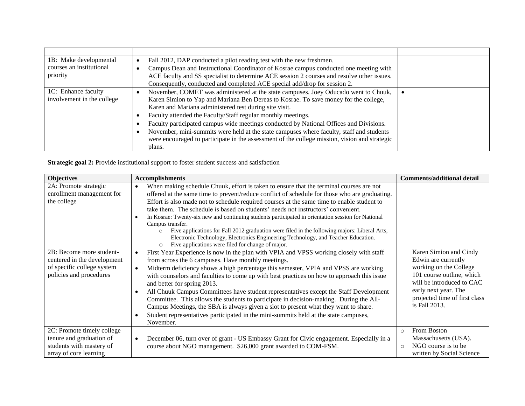| 1B: Make developmental     | Fall 2012, DAP conducted a pilot reading test with the new freshmen.                          |  |
|----------------------------|-----------------------------------------------------------------------------------------------|--|
| courses an institutional   | Campus Dean and Instructional Coordinator of Kosrae campus conducted one meeting with         |  |
| priority                   | ACE faculty and SS specialist to determine ACE session 2 courses and resolve other issues.    |  |
|                            | Consequently, conducted and completed ACE special add/drop for session 2.                     |  |
| 1C: Enhance faculty        | November, COMET was administered at the state campuses. Joey Oducado went to Chuuk,           |  |
| involvement in the college | Karen Simion to Yap and Mariana Ben Dereas to Kosrae. To save money for the college,          |  |
|                            | Karen and Mariana administered test during site visit.                                        |  |
|                            | Faculty attended the Faculty/Staff regular monthly meetings.                                  |  |
|                            | Faculty participated campus wide meetings conducted by National Offices and Divisions.        |  |
|                            | November, mini-summits were held at the state campuses where faculty, staff and students      |  |
|                            | were encouraged to participate in the assessment of the college mission, vision and strategic |  |
|                            | plans.                                                                                        |  |

**Strategic goal 2:** Provide institutional support to foster student success and satisfaction

| <b>Objectives</b>                                                                                                | <b>Accomplishments</b>                                                                                                                                                                                                                                                                                                                                                                                                                                                                                                                                                                                                                                                                                                                                                                               | <b>Comments/additional detail</b>                                                                                                                                                                           |
|------------------------------------------------------------------------------------------------------------------|------------------------------------------------------------------------------------------------------------------------------------------------------------------------------------------------------------------------------------------------------------------------------------------------------------------------------------------------------------------------------------------------------------------------------------------------------------------------------------------------------------------------------------------------------------------------------------------------------------------------------------------------------------------------------------------------------------------------------------------------------------------------------------------------------|-------------------------------------------------------------------------------------------------------------------------------------------------------------------------------------------------------------|
| 2A: Promote strategic<br>enrollment management for<br>the college                                                | When making schedule Chuuk, effort is taken to ensure that the terminal courses are not<br>$\bullet$<br>offered at the same time to prevent/reduce conflict of schedule for those who are graduating.<br>Effort is also made not to schedule required courses at the same time to enable student to<br>take them. The schedule is based on students' needs not instructors' convenient.<br>In Kosrae: Twenty-six new and continuing students participated in orientation session for National<br>$\bullet$<br>Campus transfer.<br>Five applications for Fall 2012 graduation were filed in the following majors: Liberal Arts,<br>$\circ$<br>Electronic Technology, Electronics Engineering Technology, and Teacher Education.<br>Five applications were filed for change of major.<br>$\circ$       |                                                                                                                                                                                                             |
| 2B: Become more student-<br>centered in the development<br>of specific college system<br>policies and procedures | First Year Experience is now in the plan with VPIA and VPSS working closely with staff<br>$\bullet$<br>from across the 6 campuses. Have monthly meetings.<br>Midterm deficiency shows a high percentage this semester, VPIA and VPSS are working<br>$\bullet$<br>with counselors and faculties to come up with best practices on how to approach this issue<br>and better for spring 2013.<br>All Chuuk Campus Committees have student representatives except the Staff Development<br>$\bullet$<br>Committee. This allows the students to participate in decision-making. During the All-<br>Campus Meetings, the SBA is always given a slot to present what they want to share.<br>Student representatives participated in the mini-summits held at the state campuses,<br>$\epsilon$<br>November. | Karen Simion and Cindy<br>Edwin are currently<br>working on the College<br>101 course outline, which<br>will be introduced to CAC<br>early next year. The<br>projected time of first class<br>is Fall 2013. |
| 2C: Promote timely college<br>tenure and graduation of<br>students with mastery of<br>array of core learning     | December 06, turn over of grant - US Embassy Grant for Civic engagement. Especially in a<br>$\bullet$<br>course about NGO management. \$26,000 grant awarded to COM-FSM.                                                                                                                                                                                                                                                                                                                                                                                                                                                                                                                                                                                                                             | From Boston<br>$\circ$<br>Massachusetts (USA).<br>NGO course is to be<br>$\circ$<br>written by Social Science                                                                                               |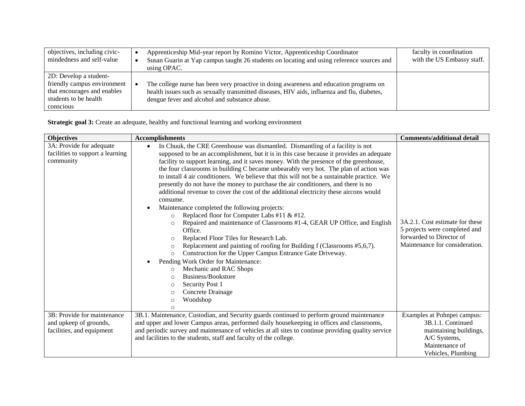| objectives, including civic-<br>mindedness and self-value                                                                  | Apprenticeship Mid-year report by Romino Victor, Apprenticeship Coordinator<br>Susan Guarin at Yap campus taught 26 students on locating and using reference sources and<br>using OPAC.                                                | faculty in coordination<br>with the US Embassy staff. |
|----------------------------------------------------------------------------------------------------------------------------|----------------------------------------------------------------------------------------------------------------------------------------------------------------------------------------------------------------------------------------|-------------------------------------------------------|
| 2D: Develop a student-<br>friendly campus environment<br>that encourages and enables<br>students to be health<br>conscious | The college nurse has been very proactive in doing awareness and education programs on<br>health issues such as sexually transmitted diseases, HIV aids, influenza and flu, diabetes,<br>dengue fever and alcohol and substance abuse. |                                                       |

**Strategic goal 3:** Create an adequate, healthy and functional learning and working environment

| <b>Objectives</b>                                                                  | <b>Accomplishments</b>                                                                                                                                                                                                                                                                                                                                                                                                                                                                                                                                                                                                                                                                                                                                                                                                                                                                                                                                                                                                                                                                                                                                                                                                                                                                                                              | <b>Comments/additional detail</b>                                                                                                  |
|------------------------------------------------------------------------------------|-------------------------------------------------------------------------------------------------------------------------------------------------------------------------------------------------------------------------------------------------------------------------------------------------------------------------------------------------------------------------------------------------------------------------------------------------------------------------------------------------------------------------------------------------------------------------------------------------------------------------------------------------------------------------------------------------------------------------------------------------------------------------------------------------------------------------------------------------------------------------------------------------------------------------------------------------------------------------------------------------------------------------------------------------------------------------------------------------------------------------------------------------------------------------------------------------------------------------------------------------------------------------------------------------------------------------------------|------------------------------------------------------------------------------------------------------------------------------------|
| 3A: Provide for adequate<br>facilities to support a learning<br>community          | In Chuuk, the CRE Greenhouse was dismantled. Dismantling of a facility is not<br>$\bullet$<br>supposed to be an accomplishment, but it is in this case because it provides an adequate<br>facility to support learning, and it saves money. With the presence of the greenhouse,<br>the four classrooms in building C became unbearably very hot. The plan of action was<br>to install 4 air conditioners. We believe that this will not be a sustainable practice. We<br>presently do not have the money to purchase the air conditioners, and there is no<br>additional revenue to cover the cost of the additional electricity these aircons would<br>consume.<br>Maintenance completed the following projects:<br>$\bullet$<br>Replaced floor for Computer Labs #11 & #12.<br>$\circ$<br>Repaired and maintenance of Classrooms #1-4, GEAR UP Office, and English<br>$\circ$<br>Office.<br>Replaced Floor Tiles for Research Lab.<br>$\circ$<br>Replacement and painting of roofing for Building f (Classrooms #5,6,7).<br>$\circ$<br>Construction for the Upper Campus Entrance Gate Driveway.<br>$\circ$<br>Pending Work Order for Maintenance:<br>$\bullet$<br>Mechanic and RAC Shops<br>$\circ$<br>Business/Bookstore<br>$\Omega$<br>Security Post 1<br>$\circ$<br>Concrete Drainage<br>$\circ$<br>Woodshop<br>$\circ$<br>◠ | 3A.2.1. Cost estimate for these<br>5 projects were completed and<br>forwarded to Director of<br>Maintenance for consideration.     |
| 3B: Provide for maintenance<br>and upkeep of grounds,<br>facilities, and equipment | 3B.1. Maintenance, Custodian, and Security guards continued to perform ground maintenance<br>and upper and lower Campus areas, performed daily housekeeping in offices and classrooms,<br>and periodic survey and maintenance of vehicles at all sites to continue providing quality service<br>and facilities to the students, staff and faculty of the college.                                                                                                                                                                                                                                                                                                                                                                                                                                                                                                                                                                                                                                                                                                                                                                                                                                                                                                                                                                   | Examples at Pohnpei campus:<br>3B.1.1. Continued<br>maintaining buildings,<br>A/C Systems,<br>Maintenance of<br>Vehicles, Plumbing |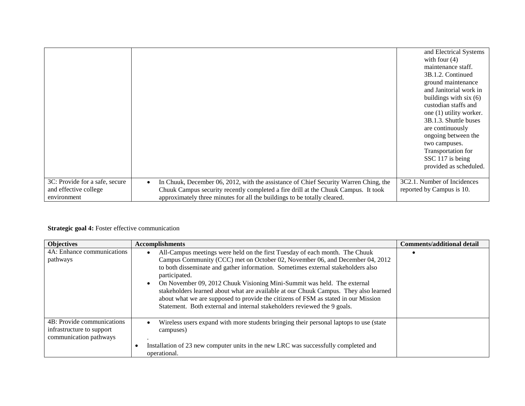|                                                                        |                                                                                                                                                                                                                                                                     | and Electrical Systems<br>with four $(4)$<br>maintenance staff.<br>3B.1.2. Continued<br>ground maintenance<br>and Janitorial work in<br>buildings with six $(6)$<br>custodian staffs and<br>one (1) utility worker.<br>3B.1.3. Shuttle buses<br>are continuously<br>ongoing between the<br>two campuses.<br>Transportation for<br>SSC 117 is being<br>provided as scheduled. |
|------------------------------------------------------------------------|---------------------------------------------------------------------------------------------------------------------------------------------------------------------------------------------------------------------------------------------------------------------|------------------------------------------------------------------------------------------------------------------------------------------------------------------------------------------------------------------------------------------------------------------------------------------------------------------------------------------------------------------------------|
| 3C: Provide for a safe, secure<br>and effective college<br>environment | In Chuuk, December 06, 2012, with the assistance of Chief Security Warren Ching, the<br>$\bullet$<br>Chuuk Campus security recently completed a fire drill at the Chuuk Campus. It took<br>approximately three minutes for all the buildings to be totally cleared. | 3C2.1. Number of Incidences<br>reported by Campus is 10.                                                                                                                                                                                                                                                                                                                     |

## **Strategic goal 4:** Foster effective communication

| <b>Objectives</b>                                                                 | <b>Accomplishments</b>                                                                                                                                                                                                                                                                                                                                                                                                                                                                                                                                                                                             | <b>Comments/additional detail</b> |
|-----------------------------------------------------------------------------------|--------------------------------------------------------------------------------------------------------------------------------------------------------------------------------------------------------------------------------------------------------------------------------------------------------------------------------------------------------------------------------------------------------------------------------------------------------------------------------------------------------------------------------------------------------------------------------------------------------------------|-----------------------------------|
| 4A: Enhance communications<br>pathways                                            | All-Campus meetings were held on the first Tuesday of each month. The Chuuk<br>Campus Community (CCC) met on October 02, November 06, and December 04, 2012<br>to both disseminate and gather information. Sometimes external stakeholders also<br>participated.<br>On November 09, 2012 Chuuk Visioning Mini-Summit was held. The external<br>$\bullet$<br>stakeholders learned about what are available at our Chuuk Campus. They also learned<br>about what we are supposed to provide the citizens of FSM as stated in our Mission<br>Statement. Both external and internal stakeholders reviewed the 9 goals. |                                   |
| 4B: Provide communications<br>infrastructure to support<br>communication pathways | Wireless users expand with more students bringing their personal laptops to use (state<br>$\bullet$<br>campuses)<br>Installation of 23 new computer units in the new LRC was successfully completed and<br>٠<br>operational.                                                                                                                                                                                                                                                                                                                                                                                       |                                   |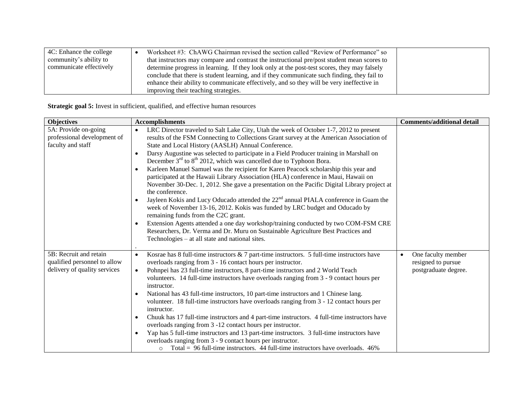| 4C: Enhance the college | Worksheet #3: ChAWG Chairman revised the section called "Review of Performance" so          |  |
|-------------------------|---------------------------------------------------------------------------------------------|--|
| community's ability to  | that instructors may compare and contrast the instructional pre/post student mean scores to |  |
| communicate effectively | determine progress in learning. If they look only at the post-test scores, they may falsely |  |
|                         | conclude that there is student learning, and if they communicate such finding, they fail to |  |
|                         | enhance their ability to communicate effectively, and so they will be very ineffective in   |  |
|                         | improving their teaching strategies.                                                        |  |

**Strategic goal 5:** Invest in sufficient, qualified, and effective human resources

| <b>Objectives</b>                                                                      | <b>Accomplishments</b>                                                                                                                                                                                                                                                                                                                                                                                                                                                                                                                                                                                                                                                                                                                                                                                                                                                                                                                                                                                                                                                                                                                                                                                                                      | <b>Comments/additional detail</b>                                             |
|----------------------------------------------------------------------------------------|---------------------------------------------------------------------------------------------------------------------------------------------------------------------------------------------------------------------------------------------------------------------------------------------------------------------------------------------------------------------------------------------------------------------------------------------------------------------------------------------------------------------------------------------------------------------------------------------------------------------------------------------------------------------------------------------------------------------------------------------------------------------------------------------------------------------------------------------------------------------------------------------------------------------------------------------------------------------------------------------------------------------------------------------------------------------------------------------------------------------------------------------------------------------------------------------------------------------------------------------|-------------------------------------------------------------------------------|
| 5A: Provide on-going<br>professional development of<br>faculty and staff               | LRC Director traveled to Salt Lake City, Utah the week of October 1-7, 2012 to present<br>$\bullet$<br>results of the FSM Connecting to Collections Grant survey at the American Association of<br>State and Local History (AASLH) Annual Conference.<br>Darsy Augustine was selected to participate in a Field Producer training in Marshall on<br>$\bullet$<br>December $3^{rd}$ to $8^{th}$ 2012, which was cancelled due to Typhoon Bora.<br>Karleen Manuel Samuel was the recipient for Karen Peacock scholarship this year and<br>$\bullet$<br>participated at the Hawaii Library Association (HLA) conference in Maui, Hawaii on<br>November 30-Dec. 1, 2012. She gave a presentation on the Pacific Digital Library project at<br>the conference.<br>Jayleen Kokis and Lucy Oducado attended the 22 <sup>nd</sup> annual PIALA conference in Guam the<br>$\bullet$<br>week of November 13-16, 2012. Kokis was funded by LRC budget and Oducado by<br>remaining funds from the C2C grant.<br>Extension Agents attended a one day workshop/training conducted by two COM-FSM CRE<br>$\bullet$<br>Researchers, Dr. Verma and Dr. Muru on Sustainable Agriculture Best Practices and<br>Technologies – at all state and national sites. |                                                                               |
| 5B: Recruit and retain<br>qualified personnel to allow<br>delivery of quality services | Kosrae has 8 full-time instructors $& 7$ part-time instructors. 5 full-time instructors have<br>$\bullet$<br>overloads ranging from 3 - 16 contact hours per instructor.<br>Pohnpei has 23 full-time instructors, 8 part-time instructors and 2 World Teach<br>$\bullet$<br>volunteers. 14 full-time instructors have overloads ranging from 3 - 9 contact hours per<br>instructor.<br>National has 43 full-time instructors, 10 part-time instructors and 1 Chinese lang.<br>$\bullet$<br>volunteer. 18 full-time instructors have overloads ranging from 3 - 12 contact hours per<br>instructor.<br>Chuuk has 17 full-time instructors and 4 part-time instructors. 4 full-time instructors have<br>$\bullet$<br>overloads ranging from 3 -12 contact hours per instructor.<br>Yap has 5 full-time instructors and 13 part-time instructors. 3 full-time instructors have<br>$\bullet$<br>overloads ranging from 3 - 9 contact hours per instructor.<br>Total = $96$ full-time instructors. 44 full-time instructors have overloads. 46%<br>$\circ$                                                                                                                                                                                       | One faculty member<br>$\bullet$<br>resigned to pursue<br>postgraduate degree. |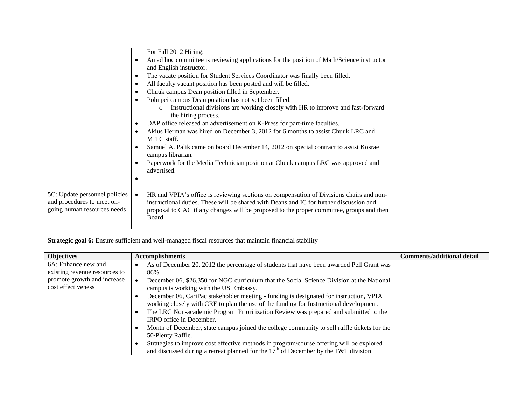|                                                                                            | For Fall 2012 Hiring:<br>An ad hoc committee is reviewing applications for the position of Math/Science instructor<br>$\bullet$<br>and English instructor.<br>The vacate position for Student Services Coordinator was finally been filled.<br>$\bullet$<br>All faculty vacant position has been posted and will be filled.<br>$\bullet$<br>Chuuk campus Dean position filled in September.<br>$\bullet$<br>Pohnpei campus Dean position has not yet been filled.<br>$\bullet$<br>Instructional divisions are working closely with HR to improve and fast-forward<br>$\circ$<br>the hiring process.<br>DAP office released an advertisement on K-Press for part-time faculties.<br>$\bullet$<br>Akius Herman was hired on December 3, 2012 for 6 months to assist Chuuk LRC and<br>$\bullet$<br>MITC staff.<br>Samuel A. Palik came on board December 14, 2012 on special contract to assist Kosrae<br>campus librarian.<br>Paperwork for the Media Technician position at Chuuk campus LRC was approved and<br>advertised. |  |
|--------------------------------------------------------------------------------------------|-----------------------------------------------------------------------------------------------------------------------------------------------------------------------------------------------------------------------------------------------------------------------------------------------------------------------------------------------------------------------------------------------------------------------------------------------------------------------------------------------------------------------------------------------------------------------------------------------------------------------------------------------------------------------------------------------------------------------------------------------------------------------------------------------------------------------------------------------------------------------------------------------------------------------------------------------------------------------------------------------------------------------------|--|
| 5C: Update personnel policies<br>and procedures to meet on-<br>going human resources needs | HR and VPIA's office is reviewing sections on compensation of Divisions chairs and non-<br>$\bullet$<br>instructional duties. These will be shared with Deans and IC for further discussion and<br>proposal to CAC if any changes will be proposed to the proper committee, groups and then<br>Board.                                                                                                                                                                                                                                                                                                                                                                                                                                                                                                                                                                                                                                                                                                                       |  |

**Strategic goal 6:** Ensure sufficient and well-managed fiscal resources that maintain financial stability

| <b>Objectives</b>             | <b>Accomplishments</b>                                                                            | <b>Comments/additional detail</b> |
|-------------------------------|---------------------------------------------------------------------------------------------------|-----------------------------------|
| 6A: Enhance new and           | As of December 20, 2012 the percentage of students that have been awarded Pell Grant was<br>٠     |                                   |
| existing revenue resources to | 86%.                                                                                              |                                   |
| promote growth and increase   | December 06, \$26,350 for NGO curriculum that the Social Science Division at the National         |                                   |
| cost effectiveness            | campus is working with the US Embassy.                                                            |                                   |
|                               | December 06, CariPac stakeholder meeting - funding is designated for instruction, VPIA            |                                   |
|                               | working closely with CRE to plan the use of the funding for Instructional development.            |                                   |
|                               | The LRC Non-academic Program Prioritization Review was prepared and submitted to the<br>$\bullet$ |                                   |
|                               | IRPO office in December.                                                                          |                                   |
|                               | Month of December, state campus joined the college community to sell raffle tickets for the       |                                   |
|                               | 50/Plenty Raffle.                                                                                 |                                   |
|                               | Strategies to improve cost effective methods in program/course offering will be explored          |                                   |
|                               | and discussed during a retreat planned for the $17th$ of December by the T&T division             |                                   |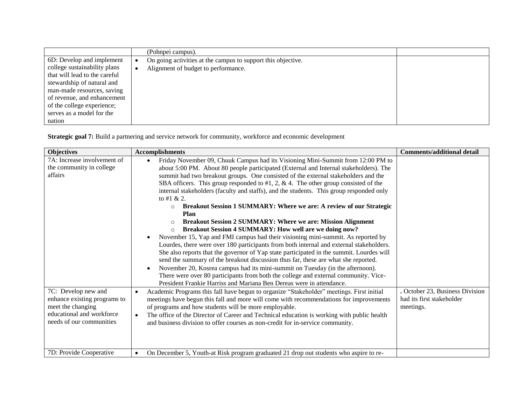|                               | (Pohnpei campus).                                            |  |
|-------------------------------|--------------------------------------------------------------|--|
| 6D: Develop and implement     | On going activities at the campus to support this objective. |  |
| college sustainability plans  | Alignment of budget to performance.                          |  |
| that will lead to the careful |                                                              |  |
| stewardship of natural and    |                                                              |  |
| man-made resources, saving    |                                                              |  |
| of revenue, and enhancement   |                                                              |  |
| of the college experience;    |                                                              |  |
| serves as a model for the     |                                                              |  |
| nation                        |                                                              |  |

**Strategic goal 7:** Build a partnering and service network for community, workforce and economic development

| <b>Objectives</b>                                                                                                         | <b>Accomplishments</b>                                                                                                                                                                                                                                                                                                                                                                                                                                                                                                                                                                                                                                                                                                                                                                                                                                                                                                                                                                                                                                                                                                                                                                                                                                                                                                                                                                                                                                                                                                                                                            | <b>Comments/additional detail</b>                          |
|---------------------------------------------------------------------------------------------------------------------------|-----------------------------------------------------------------------------------------------------------------------------------------------------------------------------------------------------------------------------------------------------------------------------------------------------------------------------------------------------------------------------------------------------------------------------------------------------------------------------------------------------------------------------------------------------------------------------------------------------------------------------------------------------------------------------------------------------------------------------------------------------------------------------------------------------------------------------------------------------------------------------------------------------------------------------------------------------------------------------------------------------------------------------------------------------------------------------------------------------------------------------------------------------------------------------------------------------------------------------------------------------------------------------------------------------------------------------------------------------------------------------------------------------------------------------------------------------------------------------------------------------------------------------------------------------------------------------------|------------------------------------------------------------|
| 7A: Increase involvement of<br>the community in college<br>affairs<br>7C: Develop new and<br>enhance existing programs to | Friday November 09, Chuuk Campus had its Visioning Mini-Summit from 12:00 PM to<br>$\bullet$<br>about 5:00 PM. About 80 people participated (External and Internal stakeholders). The<br>summit had two breakout groups. One consisted of the external stakeholders and the<br>SBA officers. This group responded to #1, 2, $\&$ 4. The other group consisted of the<br>internal stakeholders (faculty and staffs), and the students. This group responded only<br>to #1 & 2.<br>Breakout Session 1 SUMMARY: Where we are: A review of our Strategic<br>$\circ$<br>Plan<br><b>Breakout Session 2 SUMMARY: Where we are: Mission Alignment</b><br>$\circ$<br><b>Breakout Session 4 SUMMARY: How well are we doing now?</b><br>$\circ$<br>November 15, Yap and FMI campus had their visioning mini-summit. As reported by<br>$\bullet$<br>Lourdes, there were over 180 participants from both internal and external stakeholders.<br>She also reports that the governor of Yap state participated in the summit. Lourdes will<br>send the summary of the breakout discussion thus far, these are what she reported.<br>November 20, Kosrea campus had its mini-summit on Tuesday (in the afternoon).<br>$\bullet$<br>There were over 80 participants from both the college and external community. Vice-<br>President Frankie Harriss and Mariana Ben Dereas were in attendance.<br>Academic Programs this fall have begun to organize "Stakeholder" meetings. First initial<br>$\bullet$<br>meetings have begun this fall and more will come with recommendations for improvements | October 23, Business Division<br>had its first stakeholder |
| meet the changing<br>educational and workforce<br>needs of our communities                                                | of programs and how students will be more employable.<br>The office of the Director of Career and Technical education is working with public health<br>$\bullet$<br>and business division to offer courses as non-credit for in-service community.                                                                                                                                                                                                                                                                                                                                                                                                                                                                                                                                                                                                                                                                                                                                                                                                                                                                                                                                                                                                                                                                                                                                                                                                                                                                                                                                | meetings.                                                  |
| 7D: Provide Cooperative                                                                                                   | On December 5, Youth-at Risk program graduated 21 drop out students who aspire to re-<br>$\bullet$                                                                                                                                                                                                                                                                                                                                                                                                                                                                                                                                                                                                                                                                                                                                                                                                                                                                                                                                                                                                                                                                                                                                                                                                                                                                                                                                                                                                                                                                                |                                                            |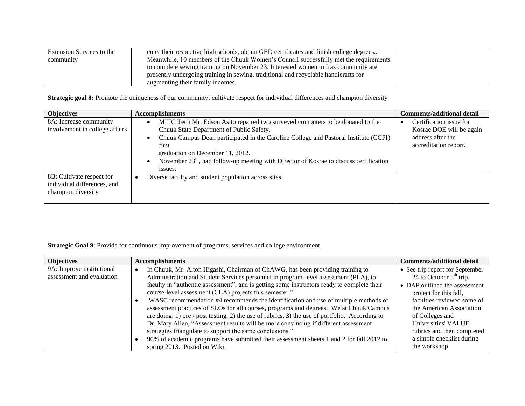| Extension Services to the | enter their respective high schools, obtain GED certificates and finish college degrees |  |
|---------------------------|-----------------------------------------------------------------------------------------|--|
| community                 | Meanwhile, 10 members of the Chuuk Women's Council successfully met the requirements    |  |
|                           | to complete sewing training on November 23. Interested women in Iras community are      |  |
|                           | presently undergoing training in sewing, traditional and recyclable handicrafts for     |  |
|                           | augmenting their family incomes.                                                        |  |

**Strategic goal 8:** Promote the uniqueness of our community; cultivate respect for individual differences and champion diversity

| <b>Objectives</b>                                                              | <b>Accomplishments</b>                                                                                                                                                                                                                                                                                                                                                                                        | <b>Comments/additional detail</b>                                                                 |
|--------------------------------------------------------------------------------|---------------------------------------------------------------------------------------------------------------------------------------------------------------------------------------------------------------------------------------------------------------------------------------------------------------------------------------------------------------------------------------------------------------|---------------------------------------------------------------------------------------------------|
| 8A: Increase community<br>involvement in college affairs                       | MITC Tech Mr. Edson Asito repaired two surveyed computers to be donated to the<br>$\bullet$<br>Chuuk State Department of Public Safety.<br>Chuuk Campus Dean participated in the Caroline College and Pastoral Institute (CCPI)<br>$\bullet$<br>first<br>graduation on December 11, 2012.<br>November $23rd$ , had follow-up meeting with Director of Kosrae to discuss certification<br>$\bullet$<br>issues. | Certification issue for<br>Kosrae DOE will be again<br>address after the<br>accreditation report. |
| 8B: Cultivate respect for<br>individual differences, and<br>champion diversity | Diverse faculty and student population across sites.<br>٠                                                                                                                                                                                                                                                                                                                                                     |                                                                                                   |

**Strategic Goal 9**: Provide for continuous improvement of programs, services and college environment

| <b>Objectives</b>         | <b>Accomplishments</b>                                                                           | <b>Comments/additional detail</b> |
|---------------------------|--------------------------------------------------------------------------------------------------|-----------------------------------|
| 9A: Improve institutional | In Chuuk, Mr. Alton Higashi, Chairman of ChAWG, has been providing training to                   | • See trip report for September   |
| assessment and evaluation | Administration and Student Services personnel in program-level assessment (PLA), to              | 24 to October $5th$ trip.         |
|                           | faculty in "authentic assessment", and is getting some instructors ready to complete their       | • DAP outlined the assessment     |
|                           | course-level assessment (CLA) projects this semester."                                           | project for this fall,            |
|                           | WASC recommendation #4 recommends the identification and use of multiple methods of<br>٠         | faculties reviewed some of        |
|                           | assessment practices of SLOs for all courses, programs and degrees. We at Chuuk Campus           | the American Association          |
|                           | are doing: 1) pre $/$ post testing, 2) the use of rubrics, 3) the use of portfolio. According to | of Colleges and                   |
|                           | Dr. Mary Allen, "Assessment results will be more convincing if different assessment              | Universities' VALUE               |
|                           | strategies triangulate to support the same conclusions."                                         | rubrics and then completed        |
|                           | 90% of academic programs have submitted their assessment sheets 1 and 2 for fall 2012 to         | a simple checklist during         |
|                           | spring 2013. Posted on Wiki.                                                                     | the workshop.                     |